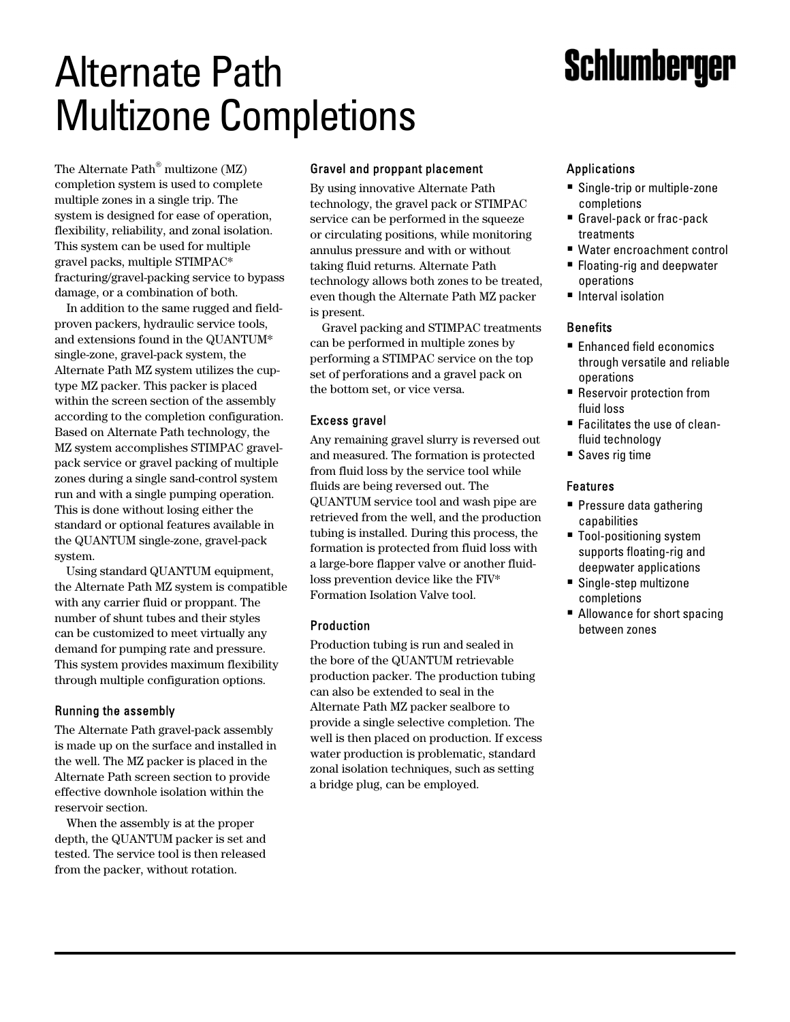# **Schlumberger**

# Alternate Path Multizone Completions

The Alternate Path $^{\circ}$  multizone (MZ) completion system is used to complete multiple zones in a single trip. The system is designed for ease of operation, flexibility, reliability, and zonal isolation. This system can be used for multiple gravel packs, multiple STIMPAC\* fracturing/gravel-packing service to bypass damage, or a combination of both.

In addition to the same rugged and fieldproven packers, hydraulic service tools, and extensions found in the QUANTUM\* single-zone, gravel-pack system, the Alternate Path MZ system utilizes the cuptype MZ packer. This packer is placed within the screen section of the assembly according to the completion configuration. Based on Alternate Path technology, the MZ system accomplishes STIMPAC gravelpack service or gravel packing of multiple zones during a single sand-control system run and with a single pumping operation. This is done without losing either the standard or optional features available in the QUANTUM single-zone, gravel-pack system.

Using standard QUANTUM equipment, the Alternate Path MZ system is compatible with any carrier fluid or proppant. The number of shunt tubes and their styles can be customized to meet virtually any demand for pumping rate and pressure. This system provides maximum flexibility through multiple configuration options.

### Running the assembly

The Alternate Path gravel-pack assembly is made up on the surface and installed in the well. The MZ packer is placed in the Alternate Path screen section to provide effective downhole isolation within the reservoir section.

When the assembly is at the proper depth, the QUANTUM packer is set and tested. The service tool is then released from the packer, without rotation.

## Gravel and proppant placement

By using innovative Alternate Path technology, the gravel pack or STIMPAC service can be performed in the squeeze or circulating positions, while monitoring annulus pressure and with or without taking fluid returns. Alternate Path technology allows both zones to be treated, even though the Alternate Path MZ packer is present.

Gravel packing and STIMPAC treatments can be performed in multiple zones by performing a STIMPAC service on the top set of perforations and a gravel pack on the bottom set, or vice versa.

### Excess gravel

Any remaining gravel slurry is reversed out and measured. The formation is protected from fluid loss by the service tool while fluids are being reversed out. The QUANTUM service tool and wash pipe are retrieved from the well, and the production tubing is installed. During this process, the formation is protected from fluid loss with a large-bore flapper valve or another fluidloss prevention device like the FIV\* Formation Isolation Valve tool.

### Production

Production tubing is run and sealed in the bore of the QUANTUM retrievable production packer. The production tubing can also be extended to seal in the Alternate Path MZ packer sealbore to provide a single selective completion. The well is then placed on production. If excess water production is problematic, standard zonal isolation techniques, such as setting a bridge plug, can be employed.

# Applications

- Single-trip or multiple-zone completions
- Gravel-pack or frac-pack treatments
- Water encroachment control
- Floating-rig and deepwater operations
- **Interval isolation**

### **Benefits**

- Enhanced field economics through versatile and reliable operations
- **E** Reservoir protection from fluid loss
- ! Facilitates the use of cleanfluid technology
- Saves rig time

### Features

- **Pressure data gathering** capabilities
- Tool-positioning system supports floating-rig and deepwater applications
- Single-step multizone completions
- Allowance for short spacing between zones